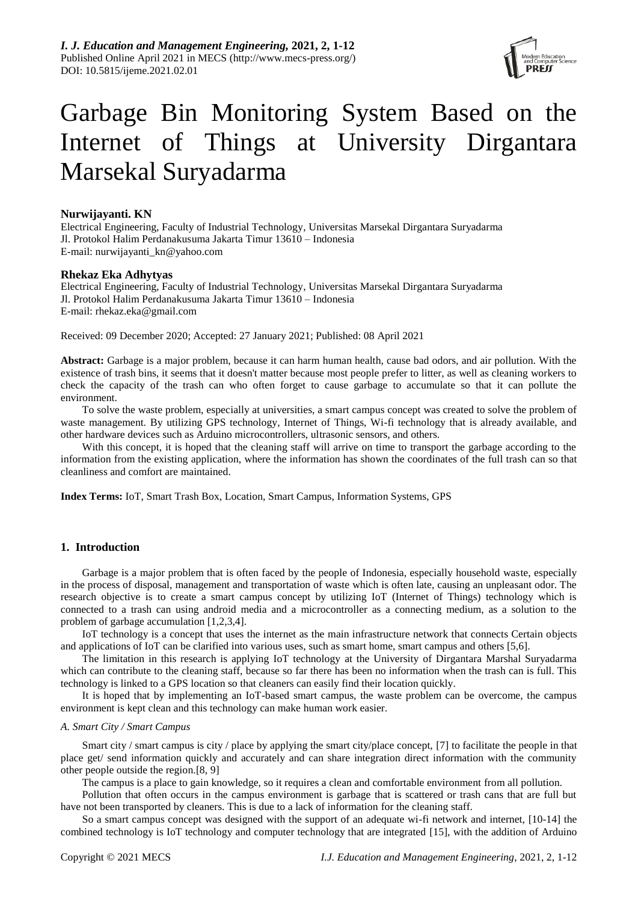

# Garbage Bin Monitoring System Based on the Internet of Things at University Dirgantara Marsekal Suryadarma

## **Nurwijayanti. KN**

Electrical Engineering, Faculty of Industrial Technology, Universitas Marsekal Dirgantara Suryadarma Jl. Protokol Halim Perdanakusuma Jakarta Timur 13610 – Indonesia E-mail: nurwijayanti\_kn@yahoo.com

## **Rhekaz Eka Adhytyas**

Electrical Engineering, Faculty of Industrial Technology, Universitas Marsekal Dirgantara Suryadarma Jl. Protokol Halim Perdanakusuma Jakarta Timur 13610 – Indonesia E-mail: rhekaz.eka@gmail.com

Received: 09 December 2020; Accepted: 27 January 2021; Published: 08 April 2021

**Abstract:** Garbage is a major problem, because it can harm human health, cause bad odors, and air pollution. With the existence of trash bins, it seems that it doesn't matter because most people prefer to litter, as well as cleaning workers to check the capacity of the trash can who often forget to cause garbage to accumulate so that it can pollute the environment.

To solve the waste problem, especially at universities, a smart campus concept was created to solve the problem of waste management. By utilizing GPS technology, Internet of Things, Wi-fi technology that is already available, and other hardware devices such as Arduino microcontrollers, ultrasonic sensors, and others.

With this concept, it is hoped that the cleaning staff will arrive on time to transport the garbage according to the information from the existing application, where the information has shown the coordinates of the full trash can so that cleanliness and comfort are maintained.

**Index Terms:** IoT, Smart Trash Box, Location, Smart Campus, Information Systems, GPS

# **1. Introduction**

Garbage is a major problem that is often faced by the people of Indonesia, especially household waste, especially in the process of disposal, management and transportation of waste which is often late, causing an unpleasant odor. The research objective is to create a smart campus concept by utilizing IoT (Internet of Things) technology which is connected to a trash can using android media and a microcontroller as a connecting medium, as a solution to the problem of garbage accumulation [1,2,3,4].

IoT technology is a concept that uses the internet as the main infrastructure network that connects Certain objects and applications of IoT can be clarified into various uses, such as smart home, smart campus and others [5,6].

The limitation in this research is applying IoT technology at the University of Dirgantara Marshal Suryadarma which can contribute to the cleaning staff, because so far there has been no information when the trash can is full. This technology is linked to a GPS location so that cleaners can easily find their location quickly.

It is hoped that by implementing an IoT-based smart campus, the waste problem can be overcome, the campus environment is kept clean and this technology can make human work easier.

## *A. Smart City / Smart Campus*

Smart city / smart campus is city / place by applying the smart city/place concept, [7] to facilitate the people in that place get/ send information quickly and accurately and can share integration direct information with the community other people outside the region.[8, 9]

The campus is a place to gain knowledge, so it requires a clean and comfortable environment from all pollution.

Pollution that often occurs in the campus environment is garbage that is scattered or trash cans that are full but have not been transported by cleaners. This is due to a lack of information for the cleaning staff.

So a smart campus concept was designed with the support of an adequate wi-fi network and internet, [10-14] the combined technology is IoT technology and computer technology that are integrated [15], with the addition of Arduino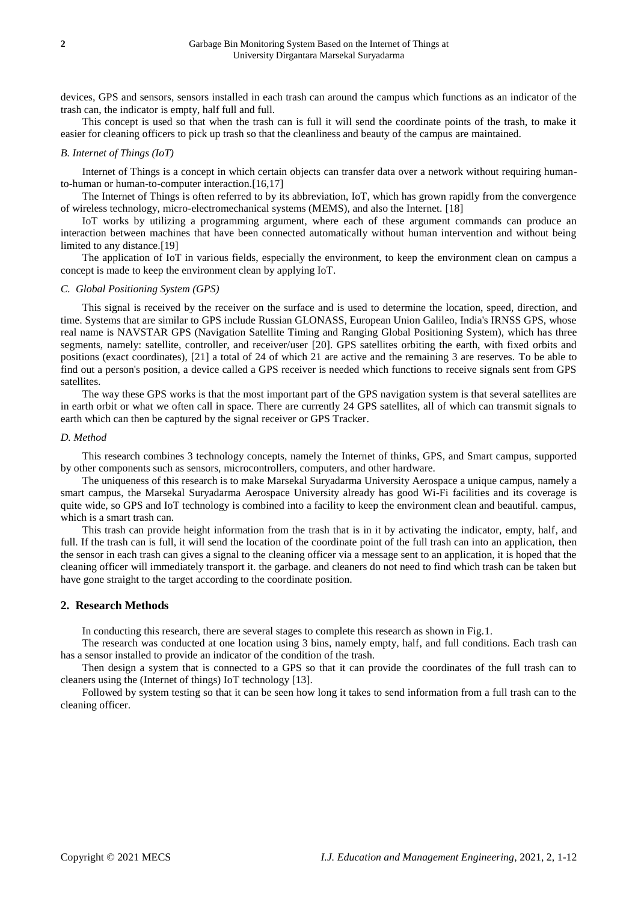devices, GPS and sensors, sensors installed in each trash can around the campus which functions as an indicator of the trash can, the indicator is empty, half full and full.

This concept is used so that when the trash can is full it will send the coordinate points of the trash, to make it easier for cleaning officers to pick up trash so that the cleanliness and beauty of the campus are maintained.

#### *B. Internet of Things (IoT)*

Internet of Things is a concept in which certain objects can transfer data over a network without requiring humanto-human or human-to-computer interaction.[16,17]

The Internet of Things is often referred to by its abbreviation, IoT, which has grown rapidly from the convergence of wireless technology, micro-electromechanical systems (MEMS), and also the Internet. [18]

IoT works by utilizing a programming argument, where each of these argument commands can produce an interaction between machines that have been connected automatically without human intervention and without being limited to any distance.<sup>[19]</sup>

The application of IoT in various fields, especially the environment, to keep the environment clean on campus a concept is made to keep the environment clean by applying IoT.

## *C. Global Positioning System (GPS)*

This signal is received by the receiver on the surface and is used to determine the location, speed, direction, and time. Systems that are similar to GPS include Russian GLONASS, European Union Galileo, India's IRNSS GPS, whose real name is NAVSTAR GPS (Navigation Satellite Timing and Ranging Global Positioning System), which has three segments, namely: satellite, controller, and receiver/user [20]. GPS satellites orbiting the earth, with fixed orbits and positions (exact coordinates), [21] a total of 24 of which 21 are active and the remaining 3 are reserves. To be able to find out a person's position, a device called a GPS receiver is needed which functions to receive signals sent from GPS satellites.

The way these GPS works is that the most important part of the GPS navigation system is that several satellites are in earth orbit or what we often call in space. There are currently 24 GPS satellites, all of which can transmit signals to earth which can then be captured by the signal receiver or GPS Tracker.

#### *D. Method*

This research combines 3 technology concepts, namely the Internet of thinks, GPS, and Smart campus, supported by other components such as sensors, microcontrollers, computers, and other hardware.

The uniqueness of this research is to make Marsekal Suryadarma University Aerospace a unique campus, namely a smart campus, the Marsekal Suryadarma Aerospace University already has good Wi-Fi facilities and its coverage is quite wide, so GPS and IoT technology is combined into a facility to keep the environment clean and beautiful. campus, which is a smart trash can.

This trash can provide height information from the trash that is in it by activating the indicator, empty, half, and full. If the trash can is full, it will send the location of the coordinate point of the full trash can into an application, then the sensor in each trash can gives a signal to the cleaning officer via a message sent to an application, it is hoped that the cleaning officer will immediately transport it. the garbage. and cleaners do not need to find which trash can be taken but have gone straight to the target according to the coordinate position.

## **2. Research Methods**

In conducting this research, there are several stages to complete this research as shown in Fig.1.

The research was conducted at one location using 3 bins, namely empty, half, and full conditions. Each trash can has a sensor installed to provide an indicator of the condition of the trash.

Then design a system that is connected to a GPS so that it can provide the coordinates of the full trash can to cleaners using the (Internet of things) IoT technology [13].

Followed by system testing so that it can be seen how long it takes to send information from a full trash can to the cleaning officer.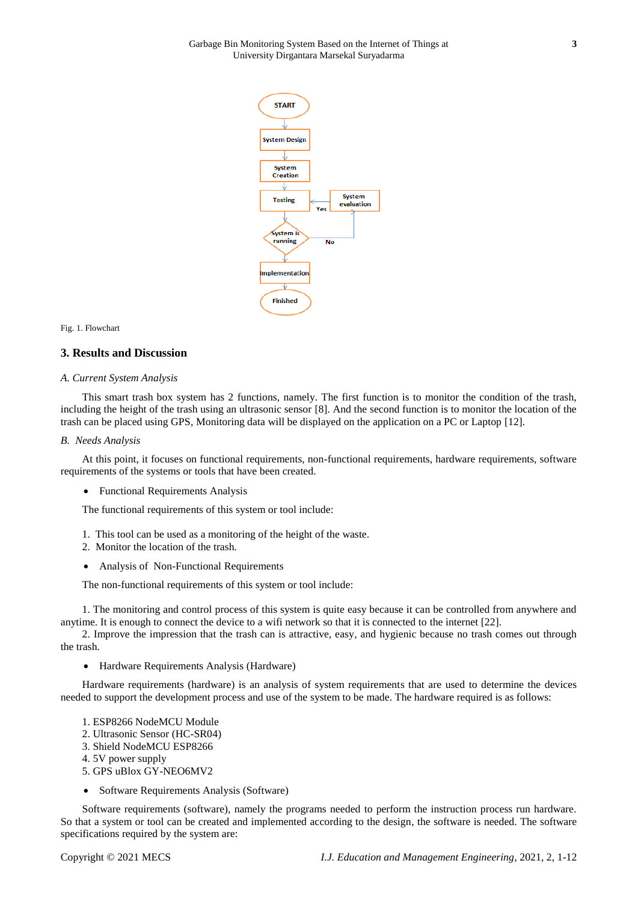

#### Fig. 1. Flowchart

#### **3. Results and Discussion**

#### *A. Current System Analysis*

This smart trash box system has 2 functions, namely. The first function is to monitor the condition of the trash, including the height of the trash using an ultrasonic sensor [8]. And the second function is to monitor the location of the trash can be placed using GPS, Monitoring data will be displayed on the application on a PC or Laptop [12].

#### *B. Needs Analysis*

At this point, it focuses on functional requirements, non-functional requirements, hardware requirements, software requirements of the systems or tools that have been created.

Functional Requirements Analysis

The functional requirements of this system or tool include:

- 1. This tool can be used as a monitoring of the height of the waste.
- 2. Monitor the location of the trash.
- Analysis of Non-Functional Requirements

The non-functional requirements of this system or tool include:

1. The monitoring and control process of this system is quite easy because it can be controlled from anywhere and anytime. It is enough to connect the device to a wifi network so that it is connected to the internet [22].

2. Improve the impression that the trash can is attractive, easy, and hygienic because no trash comes out through the trash.

Hardware Requirements Analysis (Hardware)

Hardware requirements (hardware) is an analysis of system requirements that are used to determine the devices needed to support the development process and use of the system to be made. The hardware required is as follows:

- 1. ESP8266 NodeMCU Module
- 2. Ultrasonic Sensor (HC-SR04)
- 3. Shield NodeMCU ESP8266
- 4. 5V power supply
- 5. GPS uBlox GY-NEO6MV2
- Software Requirements Analysis (Software)

Software requirements (software), namely the programs needed to perform the instruction process run hardware. So that a system or tool can be created and implemented according to the design, the software is needed. The software specifications required by the system are: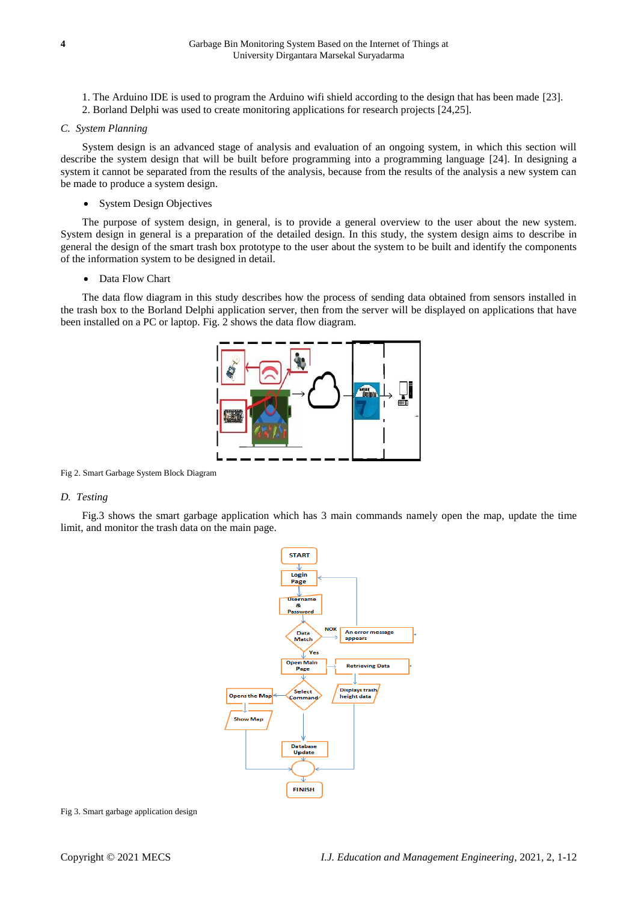- 1. The Arduino IDE is used to program the Arduino wifi shield according to the design that has been made [23].
- 2. Borland Delphi was used to create monitoring applications for research projects [24,25].

#### *C. System Planning*

System design is an advanced stage of analysis and evaluation of an ongoing system, in which this section will describe the system design that will be built before programming into a programming language [24]. In designing a system it cannot be separated from the results of the analysis, because from the results of the analysis a new system can be made to produce a system design.

• System Design Objectives

The purpose of system design, in general, is to provide a general overview to the user about the new system. System design in general is a preparation of the detailed design. In this study, the system design aims to describe in general the design of the smart trash box prototype to the user about the system to be built and identify the components of the information system to be designed in detail.

Data Flow Chart

The data flow diagram in this study describes how the process of sending data obtained from sensors installed in the trash box to the Borland Delphi application server, then from the server will be displayed on applications that have been installed on a PC or laptop. Fig. 2 shows the data flow diagram.



Fig 2. Smart Garbage System Block Diagram

## *D. Testing*

Fig.3 shows the smart garbage application which has 3 main commands namely open the map, update the time limit, and monitor the trash data on the main page.



Fig 3. Smart garbage application design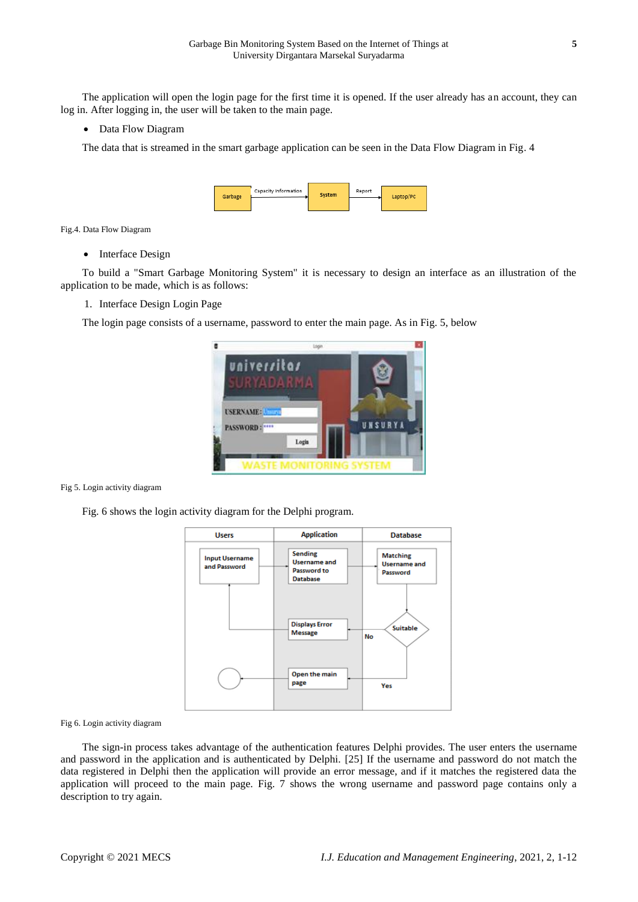The application will open the login page for the first time it is opened. If the user already has an account, they can log in. After logging in, the user will be taken to the main page.

#### • Data Flow Diagram

The data that is streamed in the smart garbage application can be seen in the Data Flow Diagram in Fig. 4

| Garbage | Capacity Information | System | Report | Laptop/PC |
|---------|----------------------|--------|--------|-----------|
|         |                      |        |        |           |

Fig.4. Data Flow Diagram

• Interface Design

To build a "Smart Garbage Monitoring System" it is necessary to design an interface as an illustration of the application to be made, which is as follows:

1. Interface Design Login Page

The login page consists of a username, password to enter the main page. As in Fig. 5, below



Fig 5. Login activity diagram

Fig. 6 shows the login activity diagram for the Delphi program.



Fig 6. Login activity diagram

The sign-in process takes advantage of the authentication features Delphi provides. The user enters the username and password in the application and is authenticated by Delphi. [25] If the username and password do not match the data registered in Delphi then the application will provide an error message, and if it matches the registered data the application will proceed to the main page. Fig. 7 shows the wrong username and password page contains only a description to try again.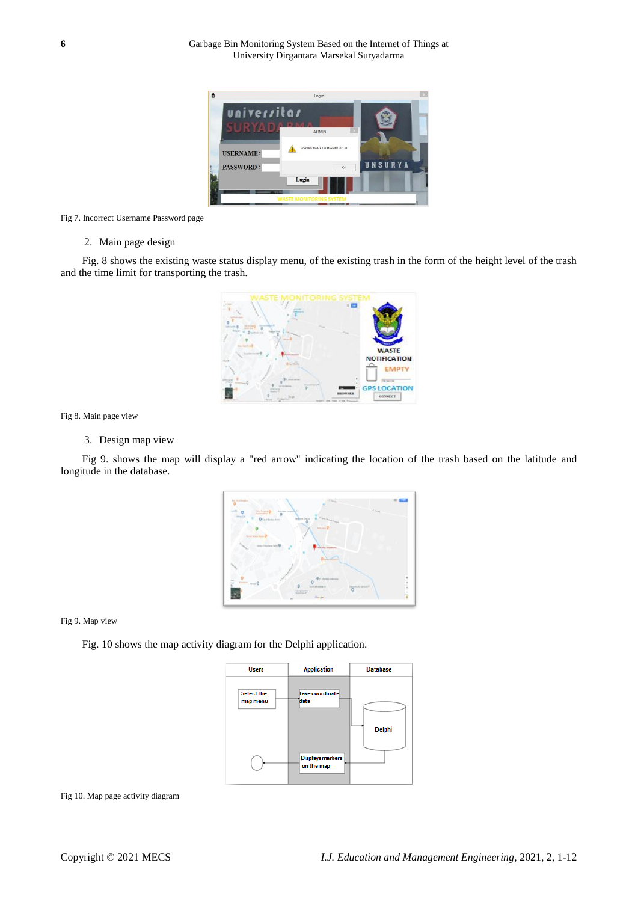

#### Fig 7. Incorrect Username Password page

#### 2. Main page design

Fig. 8 shows the existing waste status display menu, of the existing trash in the form of the height level of the trash and the time limit for transporting the trash.



Fig 8. Main page view

# 3. Design map view

Fig 9. shows the map will display a "red arrow" indicating the location of the trash based on the latitude and longitude in the database.



Fig 9. Map view

Fig. 10 shows the map activity diagram for the Delphi application.



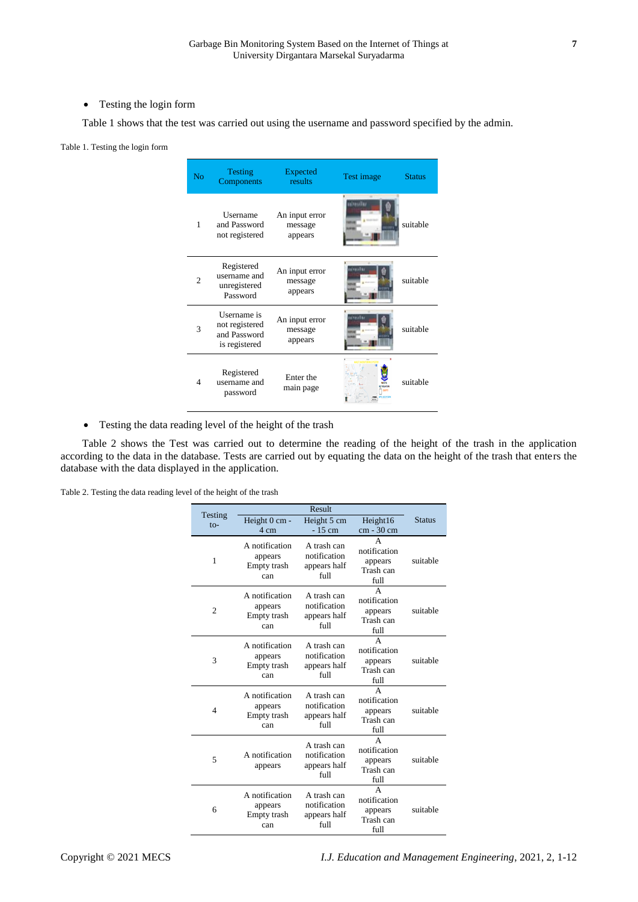• Testing the login form

Table 1 shows that the test was carried out using the username and password specified by the admin.

#### Table 1. Testing the login form

| N <sub>o</sub> | <b>Testing</b><br>Components                                   | <b>Expected</b><br>results           | Test image                                | <b>Status</b> |
|----------------|----------------------------------------------------------------|--------------------------------------|-------------------------------------------|---------------|
| 1              | Username<br>and Password<br>not registered                     | An input error<br>message<br>appears | <b><i><u>Riferrallay</u></i></b><br>anan. | suitable      |
| $\mathfrak{D}$ | Registered<br>username and<br>unregistered<br>Password         | An input error<br>message<br>appears | sivereikas                                | suitable      |
| 3              | Username is<br>not registered<br>and Password<br>is registered | An input error<br>message<br>appears | بهتانييوون                                | suitable      |
| 4              | Registered<br>username and<br>password                         | Enter the<br>main page               |                                           | suitable      |

Testing the data reading level of the height of the trash

Table 2 shows the Test was carried out to determine the reading of the height of the trash in the application according to the data in the database. Tests are carried out by equating the data on the height of the trash that enters the database with the data displayed in the application.

Table 2. Testing the data reading level of the height of the trash

| Testing                  | Result                                          |                                                     |                                                                |               |
|--------------------------|-------------------------------------------------|-----------------------------------------------------|----------------------------------------------------------------|---------------|
| $to-$                    | Height 0 cm -<br>4 cm                           | Height 5 cm<br>$-15$ cm                             | Height16<br>cm - 30 cm                                         | <b>Status</b> |
| 1                        | A notification<br>appears<br>Empty trash<br>can | A trash can<br>notification<br>appears half<br>full | A<br>notification<br>appears<br>Trash can<br>full              | suitable      |
| $\overline{c}$           | A notification<br>appears<br>Empty trash<br>can | A trash can<br>notification<br>appears half<br>full | A<br>notification<br>appears<br>Trash can<br>full              | suitable      |
| 3                        | A notification<br>appears<br>Empty trash<br>can | A trash can<br>notification<br>appears half<br>full | А<br>notification<br>appears<br>Trash can<br>full              | suitable      |
| $\overline{\mathcal{A}}$ | A notification<br>appears<br>Empty trash<br>can | A trash can<br>notification<br>appears half<br>full | $\overline{A}$<br>notification<br>appears<br>Trash can<br>full | suitable      |
| 5                        | A notification<br>appears                       | A trash can<br>notification<br>appears half<br>full | $\Delta$<br>notification<br>appears<br>Trash can<br>full       | suitable      |
| 6                        | A notification<br>appears<br>Empty trash<br>can | A trash can<br>notification<br>appears half<br>full | A<br>notification<br>appears<br>Trash can<br>full              | suitable      |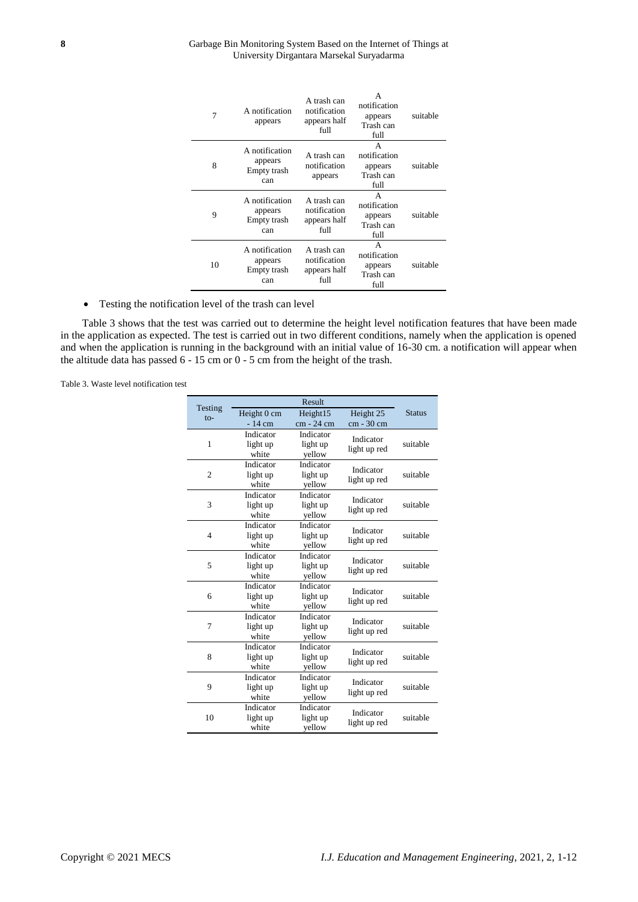#### **8** Garbage Bin Monitoring System Based on the Internet of Things at University Dirgantara Marsekal Suryadarma

| 7  | A notification<br>appears                       | A trash can<br>notification<br>appears half<br>full | А<br>notification<br>appears<br>Trash can<br>full | suitable |
|----|-------------------------------------------------|-----------------------------------------------------|---------------------------------------------------|----------|
| 8  | A notification<br>appears<br>Empty trash<br>can | A trash can<br>notification<br>appears              | A<br>notification<br>appears<br>Trash can<br>full | suitable |
| 9  | A notification<br>appears<br>Empty trash<br>can | A trash can<br>notification<br>appears half<br>full | A<br>notification<br>appears<br>Trash can<br>full | suitable |
| 10 | A notification<br>appears<br>Empty trash<br>can | A trash can<br>notification<br>appears half<br>full | A<br>notification<br>appears<br>Trash can<br>full | suitable |

Testing the notification level of the trash can level

Table 3 shows that the test was carried out to determine the height level notification features that have been made in the application as expected. The test is carried out in two different conditions, namely when the application is opened and when the application is running in the background with an initial value of 16-30 cm. a notification will appear when the altitude data has passed 6 - 15 cm or 0 - 5 cm from the height of the trash.

Table 3. Waste level notification test

|                   | Result      |            |              |               |
|-------------------|-------------|------------|--------------|---------------|
| Testing<br>$to$ - | Height 0 cm | Height15   | Height 25    | <b>Status</b> |
|                   | $-14$ cm    | cm - 24 cm | cm - 30 cm   |               |
|                   | Indicator   | Indicator  | Indicator    | suitable      |
| $\mathbf{1}$      | light up    | light up   | light up red |               |
|                   | white       | yellow     |              |               |
|                   | Indicator   | Indicator  | Indicator    | suitable      |
| $\overline{2}$    | light up    | light up   | light up red |               |
|                   | white       | yellow     |              |               |
|                   | Indicator   | Indicator  | Indicator    | suitable      |
| 3                 | light up    | light up   | light up red |               |
|                   | white       | yellow     |              |               |
|                   | Indicator   | Indicator  | Indicator    | suitable      |
| $\overline{4}$    | light up    | light up   | light up red |               |
|                   | white       | yellow     |              |               |
|                   | Indicator   | Indicator  | Indicator    | suitable      |
| 5                 | light up    | light up   | light up red |               |
|                   | white       | yellow     |              |               |
|                   | Indicator   | Indicator  | Indicator    | suitable      |
| 6                 | light up    | light up   | light up red |               |
|                   | white       | yellow     |              |               |
|                   | Indicator   | Indicator  | Indicator    | suitable      |
| 7                 | light up    | light up   | light up red |               |
|                   | white       | yellow     |              |               |
|                   | Indicator   | Indicator  | Indicator    |               |
| 8                 | light up    | light up   | light up red | suitable      |
|                   | white       | yellow     |              |               |
|                   | Indicator   | Indicator  | Indicator    |               |
| 9                 | light up    | light up   | light up red | suitable      |
|                   | white       | yellow     |              |               |
|                   | Indicator   | Indicator  | Indicator    |               |
| 10                | light up    | light up   | light up red | suitable      |
|                   | white       | yellow     |              |               |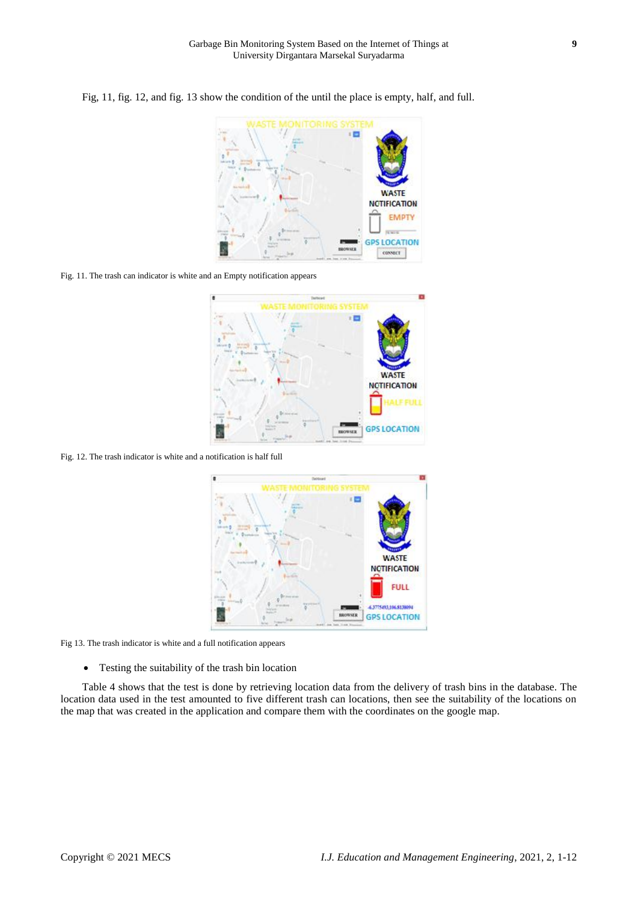

Fig, 11, fig. 12, and fig. 13 show the condition of the until the place is empty, half, and full.

Fig. 11. The trash can indicator is white and an Empty notification appears



Fig. 12. The trash indicator is white and a notification is half full



Fig 13. The trash indicator is white and a full notification appears

Testing the suitability of the trash bin location

Table 4 shows that the test is done by retrieving location data from the delivery of trash bins in the database. The location data used in the test amounted to five different trash can locations, then see the suitability of the locations on the map that was created in the application and compare them with the coordinates on the google map.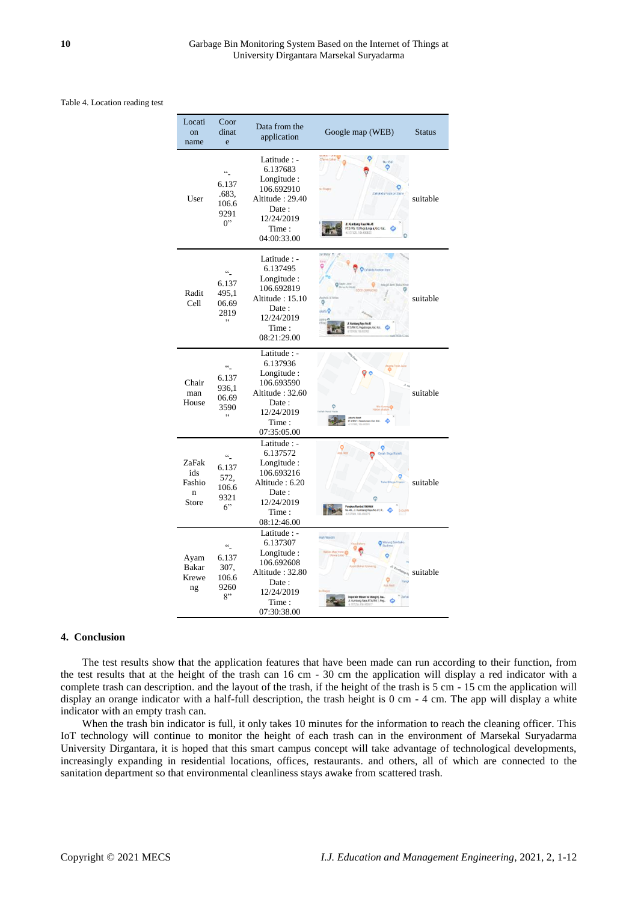Table 4. Location reading test

| Locati<br>on<br>name                 | Coor<br>dinat<br>e                                                                  | Data from the<br>application                                                                                            | Google map (WEB)                            | <b>Status</b> |
|--------------------------------------|-------------------------------------------------------------------------------------|-------------------------------------------------------------------------------------------------------------------------|---------------------------------------------|---------------|
| User                                 | $\ddot{\ }$<br>6.137<br>.683,<br>106.6<br>9291<br>$0$ "                             | Latitude : -<br>6.137683<br>Longitude:<br>106.692910<br>Altitude: 29.40<br>Date:<br>12/24/2019<br>Time:<br>04:00:33.00  | TRANSCHIEF<br>SITA'IO Pegidimana<br>130 AVA | suitable      |
| Radit<br>Cell                        | $\ddot{\phantom{a}}$<br>6.137<br>495,1<br>06.69<br>2819<br>$\overline{\phantom{a}}$ | Latitude : -<br>6.137495<br>Longitude :<br>106.692819<br>Altitude: 15.10<br>Date:<br>12/24/2019<br>Time:<br>08:21:29.00 |                                             | suitable      |
| Chair<br>man<br>House                | $\ddot{\ }$<br>6.137<br>936.1<br>06.69<br>3590<br>,                                 | Latitude : -<br>6.137936<br>Longitude :<br>106.693590<br>Altitude: 32.60<br>Date:<br>12/24/2019<br>Time:<br>07:35:05.00 |                                             | suitable      |
| ZaFak<br>ids<br>Fashio<br>n<br>Store | $cc_$<br>6.137<br>572,<br>106.6<br>9321<br>6"                                       | Latitude : -<br>6.137572<br>Longitude:<br>106.693216<br>Altitude: 6.20<br>Date:<br>12/24/2019<br>Time:<br>08:12:46.00   |                                             | suitable      |
| Ayam<br><b>Bakar</b><br>Krewe<br>ng  | $\ddot{\phantom{a}}$<br>6.137<br>307,<br>106.6<br>9260<br>8"                        | Latitude : -<br>6.137307<br>Longitude:<br>106.692608<br>Altitude: 32.80<br>Date:<br>12/24/2019<br>Time:<br>07:30:38.00  |                                             | suitable      |

## **4. Conclusion**

The test results show that the application features that have been made can run according to their function, from the test results that at the height of the trash can 16 cm - 30 cm the application will display a red indicator with a complete trash can description. and the layout of the trash, if the height of the trash is 5 cm - 15 cm the application will display an orange indicator with a half-full description, the trash height is 0 cm - 4 cm. The app will display a white indicator with an empty trash can.

When the trash bin indicator is full, it only takes 10 minutes for the information to reach the cleaning officer. This IoT technology will continue to monitor the height of each trash can in the environment of Marsekal Suryadarma University Dirgantara, it is hoped that this smart campus concept will take advantage of technological developments, increasingly expanding in residential locations, offices, restaurants. and others, all of which are connected to the sanitation department so that environmental cleanliness stays awake from scattered trash.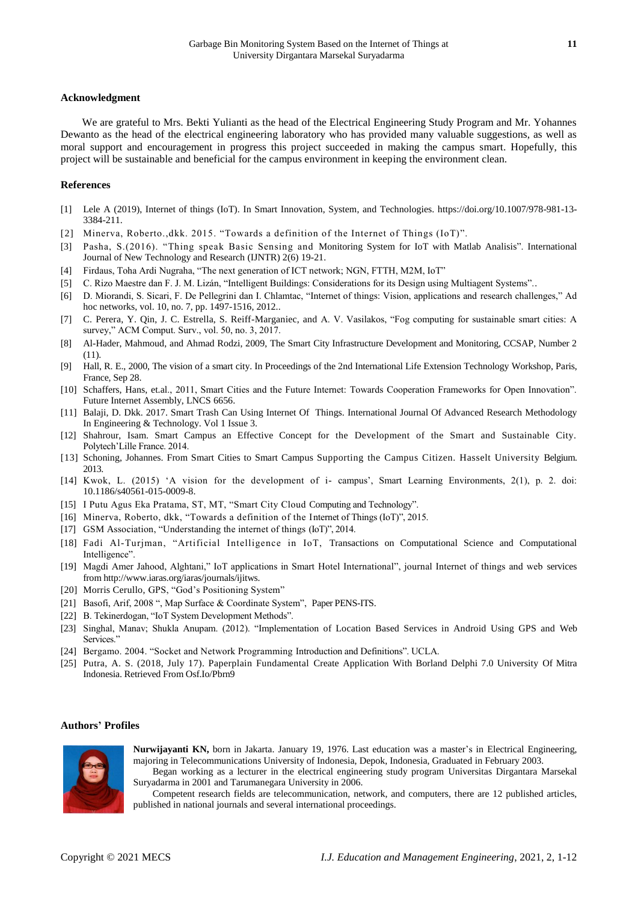#### **Acknowledgment**

We are grateful to Mrs. Bekti Yulianti as the head of the Electrical Engineering Study Program and Mr. Yohannes Dewanto as the head of the electrical engineering laboratory who has provided many valuable suggestions, as well as moral support and encouragement in progress this project succeeded in making the campus smart. Hopefully, this project will be sustainable and beneficial for the campus environment in keeping the environment clean.

#### **References**

- [1] Lele A (2019), Internet of things (IoT). In Smart Innovation, System, and Technologies. https://doi.org/10.1007/978-981-13- 3384-211.
- [2] Minerva, Roberto.,dkk. 2015. "Towards a definition of the Internet of Things (IoT)".
- [3] Pasha, S.(2016). "Thing speak Basic Sensing and Monitoring System for IoT with Matlab Analisis". International Journal of New Technology and Research (IJNTR) 2(6) 19-21.
- [4] Firdaus, Toha Ardi Nugraha, "The next generation of ICT network; NGN, FTTH, M2M, IoT"
- [5] C. Rizo Maestre dan F. J. M. Lizán, "Intelligent Buildings: Considerations for its Design using Multiagent Systems"..
- [6] D. Miorandi, S. Sicari, F. De Pellegrini dan I. Chlamtac, "Internet of things: Vision, applications and research challenges," Ad hoc networks, vol. 10, no. 7, pp. 1497-1516, 2012..
- [7] C. Perera, Y. Qin, J. C. Estrella, S. Reiff-Marganiec, and A. V. Vasilakos, "Fog computing for sustainable smart cities: A survey," ACM Comput. Surv., vol. 50, no. 3, 2017.
- [8] Al-Hader, Mahmoud, and Ahmad Rodzi, 2009, The Smart City Infrastructure Development and Monitoring, CCSAP, Number 2 (11).
- [9] Hall, R. E., 2000, The vision of a smart city. In Proceedings of the 2nd International Life Extension Technology Workshop, Paris, France, Sep 28.
- [10] Schaffers, Hans, [et.al.](http://et.al/), 2011, Smart Cities and the Future Internet: Towards Cooperation Frameworks for Open Innovation". Future Internet Assembly, LNCS 6656.
- [11] Balaji, D. Dkk. 2017. Smart Trash Can Using Internet Of Things. International Journal Of Advanced Research Methodology In Engineering & Technology. Vol 1 Issue 3.
- [12] Shahrour, Isam. Smart Campus an Effective Concept for the Development of the Smart and Sustainable City. Polytech'Lille France. 2014.
- [13] Schoning, Johannes. From Smart Cities to Smart Campus Supporting the Campus Citizen. Hasselt University Belgium. 2013.
- [14] Kwok, L. (2015) 'A vision for the development of i- campus', Smart Learning Environments, 2(1), p. 2. doi: 10.1186/s40561-015-0009-8.
- [15] I Putu Agus Eka Pratama, ST, MT, "Smart City Cloud Computing and Technology".
- [16] Minerva, Roberto, dkk, "Towards a definition of the Internet of Things (IoT)", 2015.
- [17] GSM Association, "Understanding the internet of things (IoT)", 2014.
- [18] Fadi Al-Turjman, "Artificial Intelligence in IoT, Transactions on Computational Science and Computational Intelligence".
- [19] Magdi Amer Jahood, Alghtani," IoT applications in Smart Hotel International", journal Internet of things and web services from [http://www.iaras.org/iaras/journals/ijitws.](http://www.iaras.org/iaras/journals/ijitws)
- [20] Morris Cerullo, GPS, "God's Positioning System"
- [21] Basofi, Arif, 2008 ", Map Surface & Coordinate System", Paper PENS-ITS.
- [22] B. Tekinerdogan, "IoT System Development Methods".
- [23] Singhal, Manav; Shukla Anupam. (2012). "Implementation of Location Based Services in Android Using GPS and Web Services."
- [24] Bergamo. 2004. "Socket and Network Programming Introduction and Definitions". UCLA.
- [25] Putra, A. S. (2018, July 17). Paperplain Fundamental Create Application With Borland Delphi 7.0 University Of Mitra Indonesia. Retrieved From Osf.Io/Pbrn9

#### **Authors' Profiles**



**Nurwijayanti KN,** born in Jakarta. January 19, 1976. Last education was a master's in Electrical Engineering, majoring in Telecommunications University of Indonesia, Depok, Indonesia, Graduated in February 2003.

Began working as a lecturer in the electrical engineering study program Universitas Dirgantara Marsekal Suryadarma in 2001 and Tarumanegara University in 2006.

Competent research fields are telecommunication, network, and computers, there are 12 published articles, published in national journals and several international proceedings.